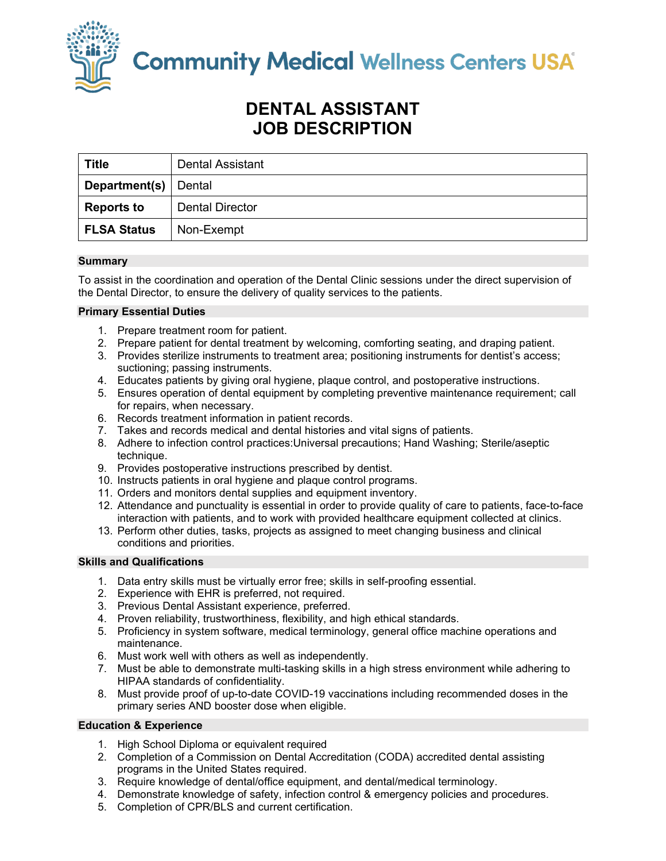

**Community Medical Wellness Centers USA** 

# **DENTAL ASSISTANT JOB DESCRIPTION**

| <b>Title</b>       | Dental Assistant       |
|--------------------|------------------------|
| Department(s)      | Dental                 |
| <b>Reports to</b>  | <b>Dental Director</b> |
| <b>FLSA Status</b> | Non-Exempt             |

# **Summary**

To assist in the coordination and operation of the Dental Clinic sessions under the direct supervision of the Dental Director, to ensure the delivery of quality services to the patients.

# **Primary Essential Duties**

- 1. Prepare treatment room for patient.
- 2. Prepare patient for dental treatment by welcoming, comforting seating, and draping patient.
- 3. Provides sterilize instruments to treatment area; positioning instruments for dentist's access; suctioning; passing instruments.
- 4. Educates patients by giving oral hygiene, plaque control, and postoperative instructions.
- 5. Ensures operation of dental equipment by completing preventive maintenance requirement; call for repairs, when necessary.
- 6. Records treatment information in patient records.
- 7. Takes and records medical and dental histories and vital signs of patients.
- 8. Adhere to infection control practices:Universal precautions; Hand Washing; Sterile/aseptic technique.
- 9. Provides postoperative instructions prescribed by dentist.
- 10. Instructs patients in oral hygiene and plaque control programs.
- 11. Orders and monitors dental supplies and equipment inventory.
- 12. Attendance and punctuality is essential in order to provide quality of care to patients, face-to-face interaction with patients, and to work with provided healthcare equipment collected at clinics.
- 13. Perform other duties, tasks, projects as assigned to meet changing business and clinical conditions and priorities.

# **Skills and Qualifications**

- 1. Data entry skills must be virtually error free; skills in self-proofing essential.
- 2. Experience with EHR is preferred, not required.
- 3. Previous Dental Assistant experience, preferred.
- 4. Proven reliability, trustworthiness, flexibility, and high ethical standards.
- 5. Proficiency in system software, medical terminology, general office machine operations and maintenance.
- 6. Must work well with others as well as independently.
- 7. Must be able to demonstrate multi-tasking skills in a high stress environment while adhering to HIPAA standards of confidentiality.
- 8. Must provide proof of up-to-date COVID-19 vaccinations including recommended doses in the primary series AND booster dose when eligible.

## **Education & Experience**

- 1. High School Diploma or equivalent required
- 2. Completion of a Commission on Dental Accreditation (CODA) accredited dental assisting programs in the United States required.
- 3. Require knowledge of dental/office equipment, and dental/medical terminology.
- 4. Demonstrate knowledge of safety, infection control & emergency policies and procedures.
- 5. Completion of CPR/BLS and current certification.